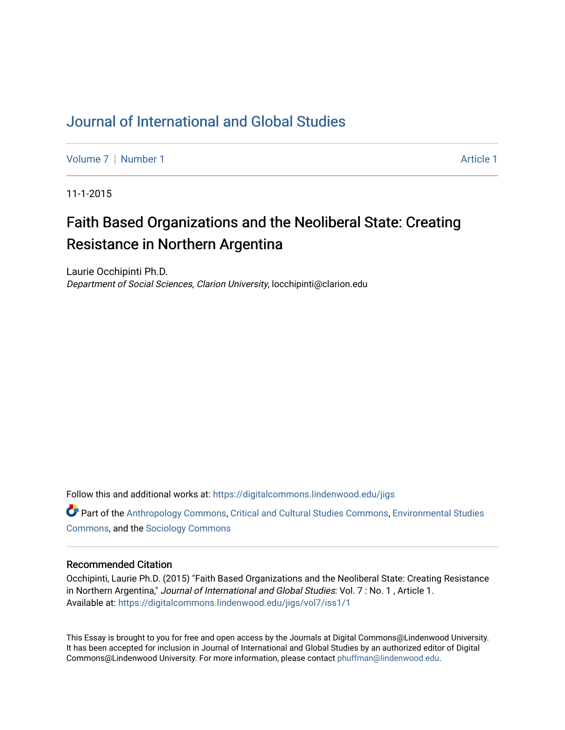# [Journal of International and Global Studies](https://digitalcommons.lindenwood.edu/jigs)

[Volume 7](https://digitalcommons.lindenwood.edu/jigs/vol7) | [Number 1](https://digitalcommons.lindenwood.edu/jigs/vol7/iss1) Article 1

11-1-2015

# Faith Based Organizations and the Neoliberal State: Creating Resistance in Northern Argentina

Laurie Occhipinti Ph.D. Department of Social Sciences, Clarion University, locchipinti@clarion.edu

Follow this and additional works at: [https://digitalcommons.lindenwood.edu/jigs](https://digitalcommons.lindenwood.edu/jigs?utm_source=digitalcommons.lindenwood.edu%2Fjigs%2Fvol7%2Fiss1%2F1&utm_medium=PDF&utm_campaign=PDFCoverPages) 

**C** Part of the [Anthropology Commons](http://network.bepress.com/hgg/discipline/318?utm_source=digitalcommons.lindenwood.edu%2Fjigs%2Fvol7%2Fiss1%2F1&utm_medium=PDF&utm_campaign=PDFCoverPages), [Critical and Cultural Studies Commons](http://network.bepress.com/hgg/discipline/328?utm_source=digitalcommons.lindenwood.edu%2Fjigs%2Fvol7%2Fiss1%2F1&utm_medium=PDF&utm_campaign=PDFCoverPages), Environmental Studies [Commons](http://network.bepress.com/hgg/discipline/1333?utm_source=digitalcommons.lindenwood.edu%2Fjigs%2Fvol7%2Fiss1%2F1&utm_medium=PDF&utm_campaign=PDFCoverPages), and the [Sociology Commons](http://network.bepress.com/hgg/discipline/416?utm_source=digitalcommons.lindenwood.edu%2Fjigs%2Fvol7%2Fiss1%2F1&utm_medium=PDF&utm_campaign=PDFCoverPages)

# Recommended Citation

Occhipinti, Laurie Ph.D. (2015) "Faith Based Organizations and the Neoliberal State: Creating Resistance in Northern Argentina," Journal of International and Global Studies: Vol. 7: No. 1, Article 1. Available at: [https://digitalcommons.lindenwood.edu/jigs/vol7/iss1/1](https://digitalcommons.lindenwood.edu/jigs/vol7/iss1/1?utm_source=digitalcommons.lindenwood.edu%2Fjigs%2Fvol7%2Fiss1%2F1&utm_medium=PDF&utm_campaign=PDFCoverPages)

This Essay is brought to you for free and open access by the Journals at Digital Commons@Lindenwood University. It has been accepted for inclusion in Journal of International and Global Studies by an authorized editor of Digital Commons@Lindenwood University. For more information, please contact [phuffman@lindenwood.edu](mailto:phuffman@lindenwood.edu).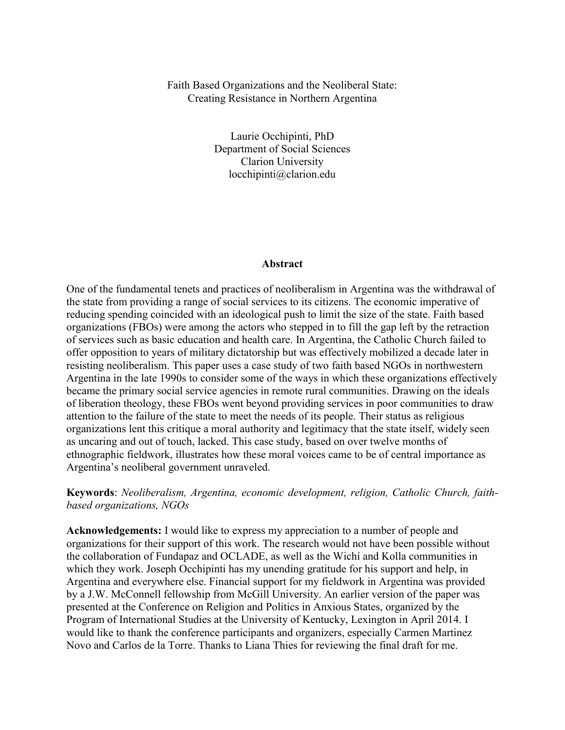# Faith Based Organizations and the Neoliberal State: Creating Resistance in Northern Argentina

Laurie Occhipinti, PhD Department of Social Sciences Clarion University locchipinti@clarion.edu

#### **Abstract**

One of the fundamental tenets and practices of neoliberalism in Argentina was the withdrawal of the state from providing a range of social services to its citizens. The economic imperative of reducing spending coincided with an ideological push to limit the size of the state. Faith based organizations (FBOs) were among the actors who stepped in to fill the gap left by the retraction of services such as basic education and health care. In Argentina, the Catholic Church failed to offer opposition to years of military dictatorship but was effectively mobilized a decade later in resisting neoliberalism. This paper uses a case study of two faith based NGOs in northwestern Argentina in the late 1990s to consider some of the ways in which these organizations effectively became the primary social service agencies in remote rural communities. Drawing on the ideals of liberation theology, these FBOs went beyond providing services in poor communities to draw attention to the failure of the state to meet the needs of its people. Their status as religious organizations lent this critique a moral authority and legitimacy that the state itself, widely seen as uncaring and out of touch, lacked. This case study, based on over twelve months of ethnographic fieldwork, illustrates how these moral voices came to be of central importance as Argentina's neoliberal government unraveled.

# **Keywords**: *Neoliberalism, Argentina, economic development, religion, Catholic Church, faithbased organizations, NGOs*

**Acknowledgements:** I would like to express my appreciation to a number of people and organizations for their support of this work. The research would not have been possible without the collaboration of Fundapaz and OCLADE, as well as the Wichí and Kolla communities in which they work. Joseph Occhipinti has my unending gratitude for his support and help, in Argentina and everywhere else. Financial support for my fieldwork in Argentina was provided by a J.W. McConnell fellowship from McGill University. An earlier version of the paper was presented at the Conference on Religion and Politics in Anxious States, organized by the Program of International Studies at the University of Kentucky, Lexington in April 2014. I would like to thank the conference participants and organizers, especially Carmen Martinez Novo and Carlos de la Torre. Thanks to Liana Thies for reviewing the final draft for me.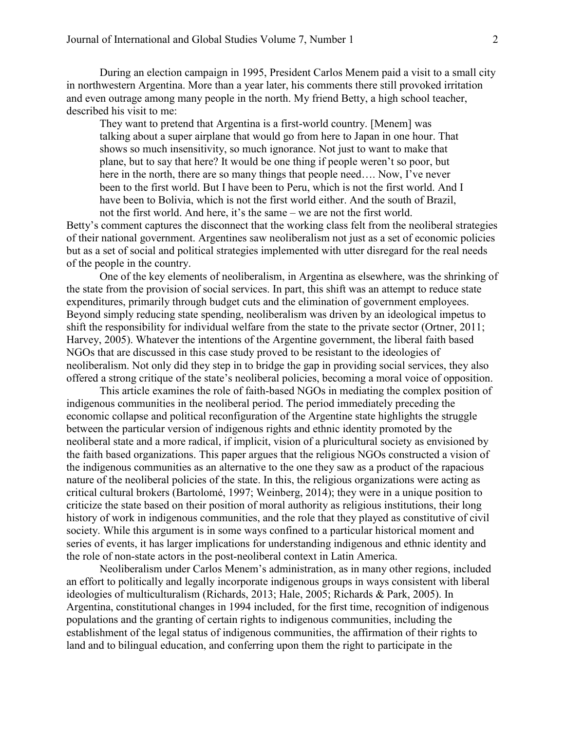During an election campaign in 1995, President Carlos Menem paid a visit to a small city in northwestern Argentina. More than a year later, his comments there still provoked irritation and even outrage among many people in the north. My friend Betty, a high school teacher, described his visit to me:

They want to pretend that Argentina is a first-world country. [Menem] was talking about a super airplane that would go from here to Japan in one hour. That shows so much insensitivity, so much ignorance. Not just to want to make that plane, but to say that here? It would be one thing if people weren't so poor, but here in the north, there are so many things that people need…. Now, I've never been to the first world. But I have been to Peru, which is not the first world. And I have been to Bolivia, which is not the first world either. And the south of Brazil, not the first world. And here, it's the same – we are not the first world.

Betty's comment captures the disconnect that the working class felt from the neoliberal strategies of their national government. Argentines saw neoliberalism not just as a set of economic policies but as a set of social and political strategies implemented with utter disregard for the real needs of the people in the country.

 One of the key elements of neoliberalism, in Argentina as elsewhere, was the shrinking of the state from the provision of social services. In part, this shift was an attempt to reduce state expenditures, primarily through budget cuts and the elimination of government employees. Beyond simply reducing state spending, neoliberalism was driven by an ideological impetus to shift the responsibility for individual welfare from the state to the private sector (Ortner, 2011; Harvey, 2005). Whatever the intentions of the Argentine government, the liberal faith based NGOs that are discussed in this case study proved to be resistant to the ideologies of neoliberalism. Not only did they step in to bridge the gap in providing social services, they also offered a strong critique of the state's neoliberal policies, becoming a moral voice of opposition.

This article examines the role of faith-based NGOs in mediating the complex position of indigenous communities in the neoliberal period. The period immediately preceding the economic collapse and political reconfiguration of the Argentine state highlights the struggle between the particular version of indigenous rights and ethnic identity promoted by the neoliberal state and a more radical, if implicit, vision of a pluricultural society as envisioned by the faith based organizations. This paper argues that the religious NGOs constructed a vision of the indigenous communities as an alternative to the one they saw as a product of the rapacious nature of the neoliberal policies of the state. In this, the religious organizations were acting as critical cultural brokers (Bartolomé, 1997; Weinberg, 2014); they were in a unique position to criticize the state based on their position of moral authority as religious institutions, their long history of work in indigenous communities, and the role that they played as constitutive of civil society. While this argument is in some ways confined to a particular historical moment and series of events, it has larger implications for understanding indigenous and ethnic identity and the role of non-state actors in the post-neoliberal context in Latin America.

Neoliberalism under Carlos Menem's administration, as in many other regions, included an effort to politically and legally incorporate indigenous groups in ways consistent with liberal ideologies of multiculturalism (Richards, 2013; Hale, 2005; Richards & Park, 2005). In Argentina, constitutional changes in 1994 included, for the first time, recognition of indigenous populations and the granting of certain rights to indigenous communities, including the establishment of the legal status of indigenous communities, the affirmation of their rights to land and to bilingual education, and conferring upon them the right to participate in the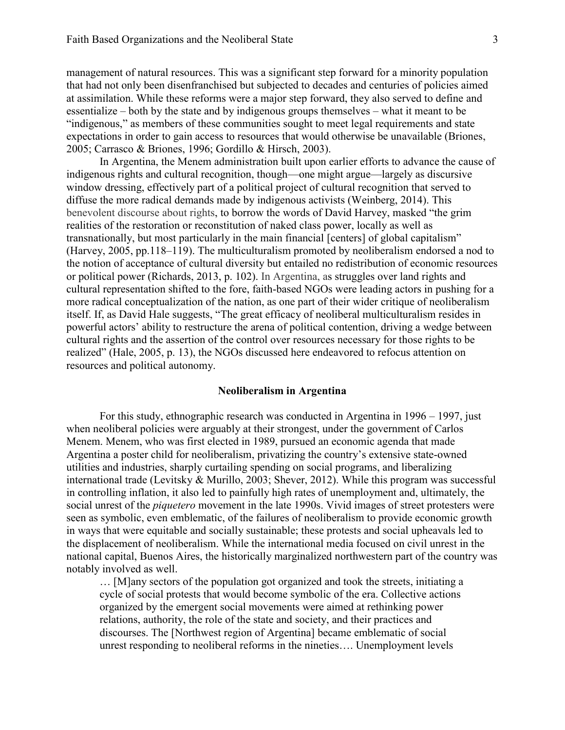management of natural resources. This was a significant step forward for a minority population that had not only been disenfranchised but subjected to decades and centuries of policies aimed at assimilation. While these reforms were a major step forward, they also served to define and essentialize – both by the state and by indigenous groups themselves – what it meant to be "indigenous," as members of these communities sought to meet legal requirements and state expectations in order to gain access to resources that would otherwise be unavailable (Briones, 2005; Carrasco & Briones, 1996; Gordillo & Hirsch, 2003).

In Argentina, the Menem administration built upon earlier efforts to advance the cause of indigenous rights and cultural recognition, though—one might argue—largely as discursive window dressing, effectively part of a political project of cultural recognition that served to diffuse the more radical demands made by indigenous activists (Weinberg, 2014). This benevolent discourse about rights, to borrow the words of David Harvey, masked "the grim realities of the restoration or reconstitution of naked class power, locally as well as transnationally, but most particularly in the main financial [centers] of global capitalism" [\(Harvey,](http://onlinelibrary.wiley.com.proxy-clarion.klnpa.org/doi/10.1111/j.1548-1425.2008.00106.x/full/#b17) 2005, pp.118–119). The multiculturalism promoted by neoliberalism endorsed a nod to the notion of acceptance of cultural diversity but entailed no redistribution of economic resources or political power (Richards, 2013, p. 102). In Argentina, as struggles over land rights and cultural representation shifted to the fore, faith-based NGOs were leading actors in pushing for a more radical conceptualization of the nation, as one part of their wider critique of neoliberalism itself. If, as David Hale suggests, "The great efficacy of neoliberal multiculturalism resides in powerful actors' ability to restructure the arena of political contention, driving a wedge between cultural rights and the assertion of the control over resources necessary for those rights to be realized" (Hale, 2005, p. 13), the NGOs discussed here endeavored to refocus attention on resources and political autonomy.

## **Neoliberalism in Argentina**

For this study, ethnographic research was conducted in Argentina in 1996 – 1997, just when neoliberal policies were arguably at their strongest, under the government of Carlos Menem. Menem, who was first elected in 1989, pursued an economic agenda that made Argentina a poster child for neoliberalism, privatizing the country's extensive state-owned utilities and industries, sharply curtailing spending on social programs, and liberalizing international trade (Levitsky & Murillo, 2003; Shever, 2012). While this program was successful in controlling inflation, it also led to painfully high rates of unemployment and, ultimately, the social unrest of the *piquetero* movement in the late 1990s. Vivid images of street protesters were seen as symbolic, even emblematic, of the failures of neoliberalism to provide economic growth in ways that were equitable and socially sustainable; these protests and social upheavals led to the displacement of neoliberalism. While the international media focused on civil unrest in the national capital, Buenos Aires, the historically marginalized northwestern part of the country was notably involved as well.

… [M]any sectors of the population got organized and took the streets, initiating a cycle of social protests that would become symbolic of the era. Collective actions organized by the emergent social movements were aimed at rethinking power relations, authority, the role of the state and society, and their practices and discourses. The [Northwest region of Argentina] became emblematic of social unrest responding to neoliberal reforms in the nineties…. Unemployment levels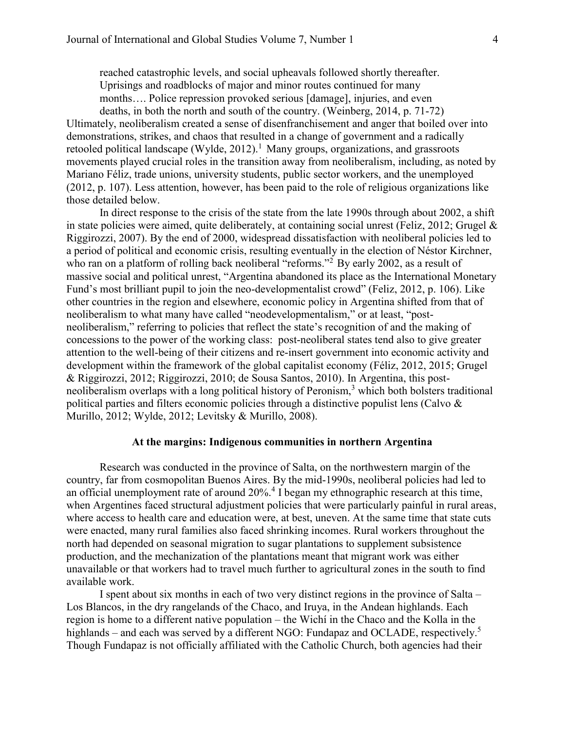reached catastrophic levels, and social upheavals followed shortly thereafter. Uprisings and roadblocks of major and minor routes continued for many months…. Police repression provoked serious [damage], injuries, and even deaths, in both the north and south of the country. (Weinberg, 2014, p. 71-72)

Ultimately, neoliberalism created a sense of disenfranchisement and anger that boiled over into demonstrations, strikes, and chaos that resulted in a change of government and a radically retooled political landscape (Wylde, 2012).<sup>1</sup> Many groups, organizations, and grassroots movements played crucial roles in the transition away from neoliberalism, including, as noted by Mariano Féliz, trade unions, university students, public sector workers, and the unemployed (2012, p. 107). Less attention, however, has been paid to the role of religious organizations like those detailed below.

 In direct response to the crisis of the state from the late 1990s through about 2002, a shift in state policies were aimed, quite deliberately, at containing social unrest (Feliz, 2012; Grugel & Riggirozzi, 2007). By the end of 2000, widespread dissatisfaction with neoliberal policies led to a period of political and economic crisis, resulting eventually in the election of Néstor Kirchner, who ran on a platform of rolling back neoliberal "reforms."<sup>2</sup> By early 2002, as a result of massive social and political unrest, "Argentina abandoned its place as the International Monetary Fund's most brilliant pupil to join the neo-developmentalist crowd" (Feliz, 2012, p. 106). Like other countries in the region and elsewhere, economic policy in Argentina shifted from that of neoliberalism to what many have called "neodevelopmentalism," or at least, "postneoliberalism," referring to policies that reflect the state's recognition of and the making of concessions to the power of the working class: post-neoliberal states tend also to give greater attention to the well-being of their citizens and re-insert government into economic activity and development within the framework of the global capitalist economy (Féliz, 2012, 2015; Grugel & Riggirozzi, 2012; Riggirozzi, 2010; de Sousa Santos, 2010). In Argentina, this postneoliberalism overlaps with a long political history of Peronism, $3$  which both bolsters traditional political parties and filters economic policies through a distinctive populist lens (Calvo & Murillo, 2012; Wylde, 2012; Levitsky & Murillo, 2008).

# **At the margins: Indigenous communities in northern Argentina**

Research was conducted in the province of Salta, on the northwestern margin of the country, far from cosmopolitan Buenos Aires. By the mid-1990s, neoliberal policies had led to an official unemployment rate of around 20%.<sup>4</sup> I began my ethnographic research at this time, when Argentines faced structural adjustment policies that were particularly painful in rural areas, where access to health care and education were, at best, uneven. At the same time that state cuts were enacted, many rural families also faced shrinking incomes. Rural workers throughout the north had depended on seasonal migration to sugar plantations to supplement subsistence production, and the mechanization of the plantations meant that migrant work was either unavailable or that workers had to travel much further to agricultural zones in the south to find available work.

I spent about six months in each of two very distinct regions in the province of Salta – Los Blancos, in the dry rangelands of the Chaco, and Iruya, in the Andean highlands. Each region is home to a different native population – the Wichí in the Chaco and the Kolla in the highlands – and each was served by a different NGO: Fundapaz and OCLADE, respectively.<sup>5</sup> Though Fundapaz is not officially affiliated with the Catholic Church, both agencies had their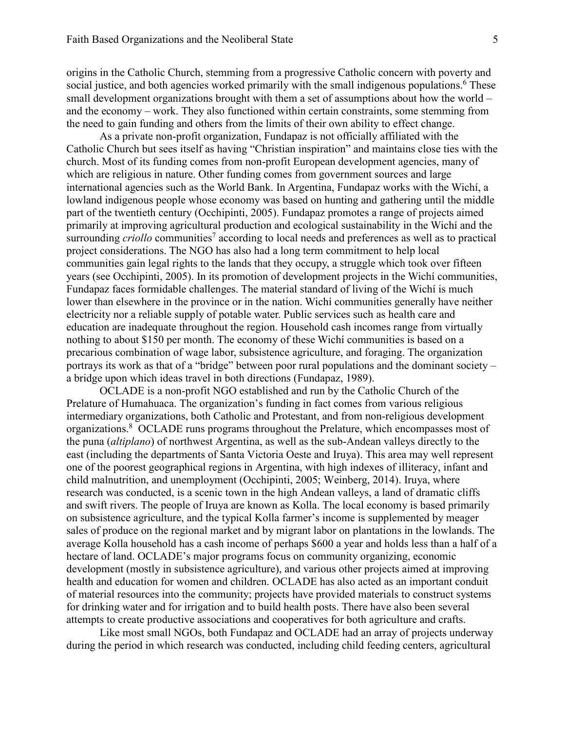origins in the Catholic Church, stemming from a progressive Catholic concern with poverty and social justice, and both agencies worked primarily with the small indigenous populations.<sup>6</sup> These small development organizations brought with them a set of assumptions about how the world – and the economy – work. They also functioned within certain constraints, some stemming from the need to gain funding and others from the limits of their own ability to effect change.

As a private non-profit organization, Fundapaz is not officially affiliated with the Catholic Church but sees itself as having "Christian inspiration" and maintains close ties with the church. Most of its funding comes from non-profit European development agencies, many of which are religious in nature. Other funding comes from government sources and large international agencies such as the World Bank. In Argentina, Fundapaz works with the Wichí, a lowland indigenous people whose economy was based on hunting and gathering until the middle part of the twentieth century (Occhipinti, 2005). Fundapaz promotes a range of projects aimed primarily at improving agricultural production and ecological sustainability in the Wichí and the surrounding *criollo* communities<sup>7</sup> according to local needs and preferences as well as to practical project considerations. The NGO has also had a long term commitment to help local communities gain legal rights to the lands that they occupy, a struggle which took over fifteen years (see Occhipinti, 2005). In its promotion of development projects in the Wichí communities, Fundapaz faces formidable challenges. The material standard of living of the Wichí is much lower than elsewhere in the province or in the nation. Wichí communities generally have neither electricity nor a reliable supply of potable water. Public services such as health care and education are inadequate throughout the region. Household cash incomes range from virtually nothing to about \$150 per month. The economy of these Wichí communities is based on a precarious combination of wage labor, subsistence agriculture, and foraging. The organization portrays its work as that of a "bridge" between poor rural populations and the dominant society – a bridge upon which ideas travel in both directions (Fundapaz, 1989).

OCLADE is a non-profit NGO established and run by the Catholic Church of the Prelature of Humahuaca. The organization's funding in fact comes from various religious intermediary organizations, both Catholic and Protestant, and from non-religious development organizations.<sup>8</sup> OCLADE runs programs throughout the Prelature, which encompasses most of the puna (*altiplano*) of northwest Argentina, as well as the sub-Andean valleys directly to the east (including the departments of Santa Victoria Oeste and Iruya). This area may well represent one of the poorest geographical regions in Argentina, with high indexes of illiteracy, infant and child malnutrition, and unemployment (Occhipinti, 2005; Weinberg, 2014). Iruya, where research was conducted, is a scenic town in the high Andean valleys, a land of dramatic cliffs and swift rivers. The people of Iruya are known as Kolla. The local economy is based primarily on subsistence agriculture, and the typical Kolla farmer's income is supplemented by meager sales of produce on the regional market and by migrant labor on plantations in the lowlands. The average Kolla household has a cash income of perhaps \$600 a year and holds less than a half of a hectare of land. OCLADE's major programs focus on community organizing, economic development (mostly in subsistence agriculture), and various other projects aimed at improving health and education for women and children. OCLADE has also acted as an important conduit of material resources into the community; projects have provided materials to construct systems for drinking water and for irrigation and to build health posts. There have also been several attempts to create productive associations and cooperatives for both agriculture and crafts.

Like most small NGOs, both Fundapaz and OCLADE had an array of projects underway during the period in which research was conducted, including child feeding centers, agricultural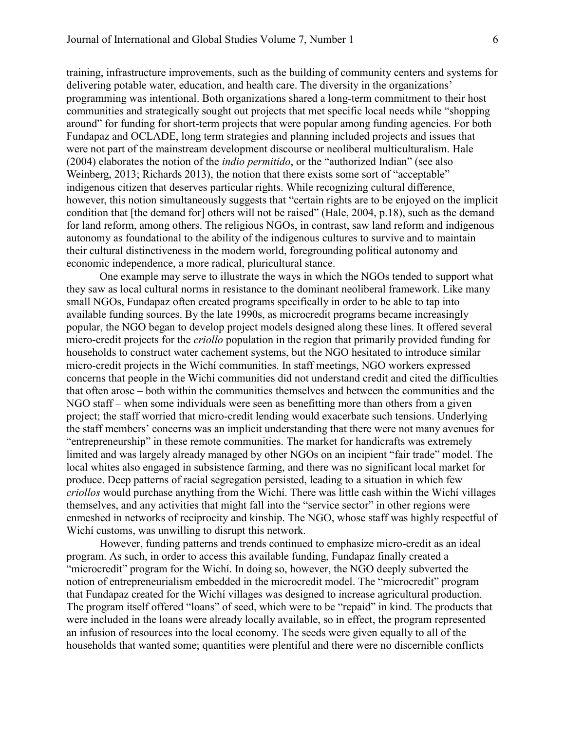training, infrastructure improvements, such as the building of community centers and systems for delivering potable water, education, and health care. The diversity in the organizations' programming was intentional. Both organizations shared a long-term commitment to their host communities and strategically sought out projects that met specific local needs while "shopping around" for funding for short-term projects that were popular among funding agencies. For both Fundapaz and OCLADE, long term strategies and planning included projects and issues that were not part of the mainstream development discourse or neoliberal multiculturalism. Hale (2004) elaborates the notion of the *indio permitido*, or the "authorized Indian" (see also Weinberg, 2013; Richards 2013), the notion that there exists some sort of "acceptable" indigenous citizen that deserves particular rights. While recognizing cultural difference, however, this notion simultaneously suggests that "certain rights are to be enjoyed on the implicit condition that [the demand for] others will not be raised" (Hale, 2004, p.18), such as the demand for land reform, among others. The religious NGOs, in contrast, saw land reform and indigenous autonomy as foundational to the ability of the indigenous cultures to survive and to maintain their cultural distinctiveness in the modern world, foregrounding political autonomy and economic independence, a more radical, pluricultural stance.

One example may serve to illustrate the ways in which the NGOs tended to support what they saw as local cultural norms in resistance to the dominant neoliberal framework. Like many small NGOs, Fundapaz often created programs specifically in order to be able to tap into available funding sources. By the late 1990s, as microcredit programs became increasingly popular, the NGO began to develop project models designed along these lines. It offered several micro-credit projects for the *criollo* population in the region that primarily provided funding for households to construct water cachement systems, but the NGO hesitated to introduce similar micro-credit projects in the Wichí communities. In staff meetings, NGO workers expressed concerns that people in the Wichí communities did not understand credit and cited the difficulties that often arose – both within the communities themselves and between the communities and the NGO staff – when some individuals were seen as benefitting more than others from a given project; the staff worried that micro-credit lending would exacerbate such tensions. Underlying the staff members' concerns was an implicit understanding that there were not many avenues for "entrepreneurship" in these remote communities. The market for handicrafts was extremely limited and was largely already managed by other NGOs on an incipient "fair trade" model. The local whites also engaged in subsistence farming, and there was no significant local market for produce. Deep patterns of racial segregation persisted, leading to a situation in which few *criollos* would purchase anything from the Wichí. There was little cash within the Wichí villages themselves, and any activities that might fall into the "service sector" in other regions were enmeshed in networks of reciprocity and kinship. The NGO, whose staff was highly respectful of Wichí customs, was unwilling to disrupt this network.

 However, funding patterns and trends continued to emphasize micro-credit as an ideal program. As such, in order to access this available funding, Fundapaz finally created a "microcredit" program for the Wichí. In doing so, however, the NGO deeply subverted the notion of entrepreneurialism embedded in the microcredit model. The "microcredit" program that Fundapaz created for the Wichí villages was designed to increase agricultural production. The program itself offered "loans" of seed, which were to be "repaid" in kind. The products that were included in the loans were already locally available, so in effect, the program represented an infusion of resources into the local economy. The seeds were given equally to all of the households that wanted some; quantities were plentiful and there were no discernible conflicts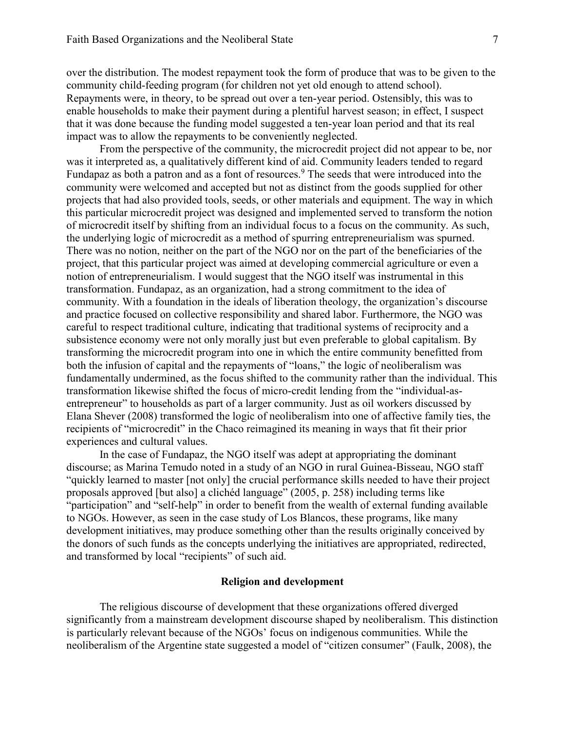over the distribution. The modest repayment took the form of produce that was to be given to the community child-feeding program (for children not yet old enough to attend school). Repayments were, in theory, to be spread out over a ten-year period. Ostensibly, this was to enable households to make their payment during a plentiful harvest season; in effect, I suspect that it was done because the funding model suggested a ten-year loan period and that its real impact was to allow the repayments to be conveniently neglected.

From the perspective of the community, the microcredit project did not appear to be, nor was it interpreted as, a qualitatively different kind of aid. Community leaders tended to regard Fundapaz as both a patron and as a font of resources.<sup>9</sup> The seeds that were introduced into the community were welcomed and accepted but not as distinct from the goods supplied for other projects that had also provided tools, seeds, or other materials and equipment. The way in which this particular microcredit project was designed and implemented served to transform the notion of microcredit itself by shifting from an individual focus to a focus on the community. As such, the underlying logic of microcredit as a method of spurring entrepreneurialism was spurned. There was no notion, neither on the part of the NGO nor on the part of the beneficiaries of the project, that this particular project was aimed at developing commercial agriculture or even a notion of entrepreneurialism. I would suggest that the NGO itself was instrumental in this transformation. Fundapaz, as an organization, had a strong commitment to the idea of community. With a foundation in the ideals of liberation theology, the organization's discourse and practice focused on collective responsibility and shared labor. Furthermore, the NGO was careful to respect traditional culture, indicating that traditional systems of reciprocity and a subsistence economy were not only morally just but even preferable to global capitalism. By transforming the microcredit program into one in which the entire community benefitted from both the infusion of capital and the repayments of "loans," the logic of neoliberalism was fundamentally undermined, as the focus shifted to the community rather than the individual. This transformation likewise shifted the focus of micro-credit lending from the "individual-asentrepreneur" to households as part of a larger community. Just as oil workers discussed by Elana Shever (2008) transformed the logic of neoliberalism into one of affective family ties, the recipients of "microcredit" in the Chaco reimagined its meaning in ways that fit their prior experiences and cultural values.

In the case of Fundapaz, the NGO itself was adept at appropriating the dominant discourse; as Marina Temudo noted in a study of an NGO in rural Guinea-Bisseau, NGO staff "quickly learned to master [not only] the crucial performance skills needed to have their project proposals approved [but also] a clichéd language" (2005, p. 258) including terms like "participation" and "self-help" in order to benefit from the wealth of external funding available to NGOs. However, as seen in the case study of Los Blancos, these programs, like many development initiatives, may produce something other than the results originally conceived by the donors of such funds as the concepts underlying the initiatives are appropriated, redirected, and transformed by local "recipients" of such aid.

### **Religion and development**

The religious discourse of development that these organizations offered diverged significantly from a mainstream development discourse shaped by neoliberalism. This distinction is particularly relevant because of the NGOs' focus on indigenous communities. While the neoliberalism of the Argentine state suggested a model of "citizen consumer" (Faulk, 2008), the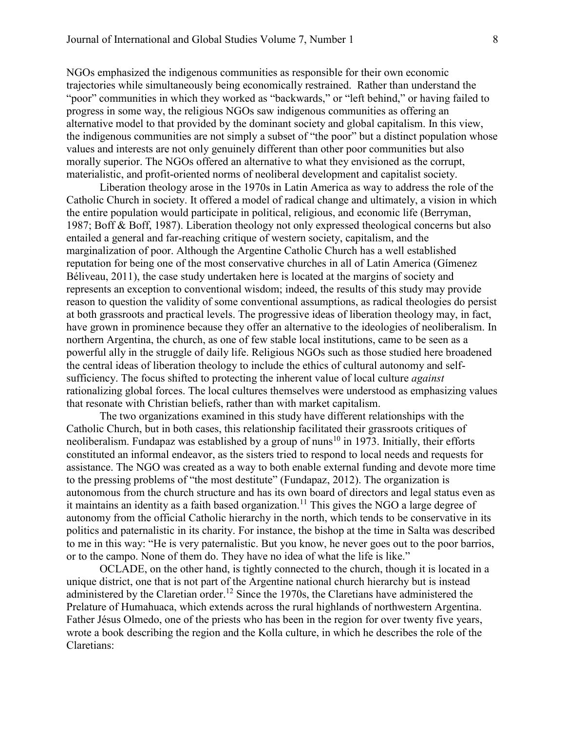NGOs emphasized the indigenous communities as responsible for their own economic trajectories while simultaneously being economically restrained. Rather than understand the "poor" communities in which they worked as "backwards," or "left behind," or having failed to progress in some way, the religious NGOs saw indigenous communities as offering an alternative model to that provided by the dominant society and global capitalism. In this view, the indigenous communities are not simply a subset of "the poor" but a distinct population whose values and interests are not only genuinely different than other poor communities but also morally superior. The NGOs offered an alternative to what they envisioned as the corrupt, materialistic, and profit-oriented norms of neoliberal development and capitalist society.

Liberation theology arose in the 1970s in Latin America as way to address the role of the Catholic Church in society. It offered a model of radical change and ultimately, a vision in which the entire population would participate in political, religious, and economic life (Berryman, 1987; Boff & Boff, 1987). Liberation theology not only expressed theological concerns but also entailed a general and far-reaching critique of western society, capitalism, and the marginalization of poor. Although the Argentine Catholic Church has a well established reputation for being one of the most conservative churches in all of Latin America (Gímenez Béliveau, 2011), the case study undertaken here is located at the margins of society and represents an exception to conventional wisdom; indeed, the results of this study may provide reason to question the validity of some conventional assumptions, as radical theologies do persist at both grassroots and practical levels. The progressive ideas of liberation theology may, in fact, have grown in prominence because they offer an alternative to the ideologies of neoliberalism. In northern Argentina, the church, as one of few stable local institutions, came to be seen as a powerful ally in the struggle of daily life. Religious NGOs such as those studied here broadened the central ideas of liberation theology to include the ethics of cultural autonomy and selfsufficiency. The focus shifted to protecting the inherent value of local culture *against* rationalizing global forces. The local cultures themselves were understood as emphasizing values that resonate with Christian beliefs, rather than with market capitalism.

The two organizations examined in this study have different relationships with the Catholic Church, but in both cases, this relationship facilitated their grassroots critiques of neoliberalism. Fundapaz was established by a group of nuns<sup>10</sup> in 1973. Initially, their efforts constituted an informal endeavor, as the sisters tried to respond to local needs and requests for assistance. The NGO was created as a way to both enable external funding and devote more time to the pressing problems of "the most destitute" (Fundapaz, 2012). The organization is autonomous from the church structure and has its own board of directors and legal status even as it maintains an identity as a faith based organization.<sup>11</sup> This gives the NGO a large degree of autonomy from the official Catholic hierarchy in the north, which tends to be conservative in its politics and paternalistic in its charity. For instance, the bishop at the time in Salta was described to me in this way: "He is very paternalistic. But you know, he never goes out to the poor barrios, or to the campo. None of them do. They have no idea of what the life is like."

 OCLADE, on the other hand, is tightly connected to the church, though it is located in a unique district, one that is not part of the Argentine national church hierarchy but is instead administered by the Claretian order.<sup>12</sup> Since the 1970s, the Claretians have administered the Prelature of Humahuaca, which extends across the rural highlands of northwestern Argentina. Father Jésus Olmedo, one of the priests who has been in the region for over twenty five years, wrote a book describing the region and the Kolla culture, in which he describes the role of the Claretians: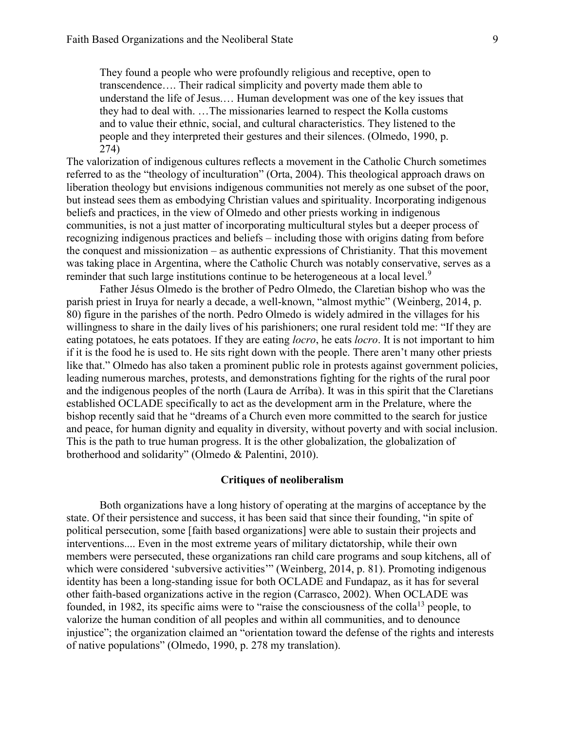They found a people who were profoundly religious and receptive, open to transcendence…. Their radical simplicity and poverty made them able to understand the life of Jesus.… Human development was one of the key issues that they had to deal with. …The missionaries learned to respect the Kolla customs and to value their ethnic, social, and cultural characteristics. They listened to the people and they interpreted their gestures and their silences. (Olmedo, 1990, p. 274)

The valorization of indigenous cultures reflects a movement in the Catholic Church sometimes referred to as the "theology of inculturation" (Orta, 2004). This theological approach draws on liberation theology but envisions indigenous communities not merely as one subset of the poor, but instead sees them as embodying Christian values and spirituality. Incorporating indigenous beliefs and practices, in the view of Olmedo and other priests working in indigenous communities, is not a just matter of incorporating multicultural styles but a deeper process of recognizing indigenous practices and beliefs – including those with origins dating from before the conquest and missionization – as authentic expressions of Christianity. That this movement was taking place in Argentina, where the Catholic Church was notably conservative, serves as a reminder that such large institutions continue to be heterogeneous at a local level.<sup>9</sup>

Father Jésus Olmedo is the brother of Pedro Olmedo, the Claretian bishop who was the parish priest in Iruya for nearly a decade, a well-known, "almost mythic" (Weinberg, 2014, p. 80) figure in the parishes of the north. Pedro Olmedo is widely admired in the villages for his willingness to share in the daily lives of his parishioners; one rural resident told me: "If they are eating potatoes, he eats potatoes. If they are eating *locro*, he eats *locro*. It is not important to him if it is the food he is used to. He sits right down with the people. There aren't many other priests like that." Olmedo has also taken a prominent public role in protests against government policies, leading numerous marches, protests, and demonstrations fighting for the rights of the rural poor and the indigenous peoples of the north (Laura de Arríba). It was in this spirit that the Claretians established OCLADE specifically to act as the development arm in the Prelature, where the bishop recently said that he "dreams of a Church even more committed to the search for justice and peace, for human dignity and equality in diversity, without poverty and with social inclusion. This is the path to true human progress. It is the other globalization, the globalization of brotherhood and solidarity" (Olmedo & Palentini, 2010).

#### **Critiques of neoliberalism**

Both organizations have a long history of operating at the margins of acceptance by the state. Of their persistence and success, it has been said that since their founding, "in spite of political persecution, some [faith based organizations] were able to sustain their projects and interventions.... Even in the most extreme years of military dictatorship, while their own members were persecuted, these organizations ran child care programs and soup kitchens, all of which were considered 'subversive activities'" (Weinberg, 2014, p. 81). Promoting indigenous identity has been a long-standing issue for both OCLADE and Fundapaz, as it has for several other faith-based organizations active in the region (Carrasco, 2002). When OCLADE was founded, in 1982, its specific aims were to "raise the consciousness of the colla<sup>13</sup> people, to valorize the human condition of all peoples and within all communities, and to denounce injustice"; the organization claimed an "orientation toward the defense of the rights and interests of native populations" (Olmedo, 1990, p. 278 my translation).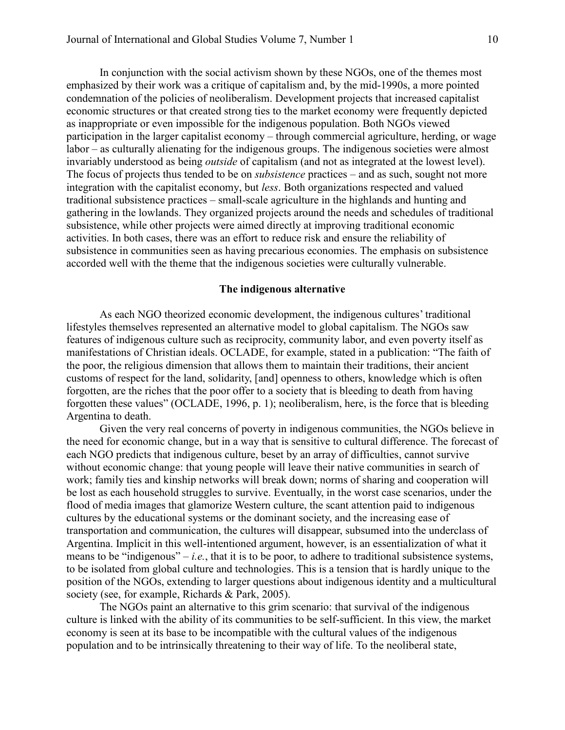In conjunction with the social activism shown by these NGOs, one of the themes most emphasized by their work was a critique of capitalism and, by the mid-1990s, a more pointed condemnation of the policies of neoliberalism. Development projects that increased capitalist economic structures or that created strong ties to the market economy were frequently depicted as inappropriate or even impossible for the indigenous population. Both NGOs viewed participation in the larger capitalist economy – through commercial agriculture, herding, or wage labor – as culturally alienating for the indigenous groups. The indigenous societies were almost invariably understood as being *outside* of capitalism (and not as integrated at the lowest level). The focus of projects thus tended to be on *subsistence* practices – and as such, sought not more integration with the capitalist economy, but *less*. Both organizations respected and valued traditional subsistence practices – small-scale agriculture in the highlands and hunting and gathering in the lowlands. They organized projects around the needs and schedules of traditional subsistence, while other projects were aimed directly at improving traditional economic activities. In both cases, there was an effort to reduce risk and ensure the reliability of subsistence in communities seen as having precarious economies. The emphasis on subsistence accorded well with the theme that the indigenous societies were culturally vulnerable.

# **The indigenous alternative**

As each NGO theorized economic development, the indigenous cultures' traditional lifestyles themselves represented an alternative model to global capitalism. The NGOs saw features of indigenous culture such as reciprocity, community labor, and even poverty itself as manifestations of Christian ideals. OCLADE, for example, stated in a publication: "The faith of the poor, the religious dimension that allows them to maintain their traditions, their ancient customs of respect for the land, solidarity, [and] openness to others, knowledge which is often forgotten, are the riches that the poor offer to a society that is bleeding to death from having forgotten these values" (OCLADE, 1996, p. 1); neoliberalism, here, is the force that is bleeding Argentina to death.

Given the very real concerns of poverty in indigenous communities, the NGOs believe in the need for economic change, but in a way that is sensitive to cultural difference. The forecast of each NGO predicts that indigenous culture, beset by an array of difficulties, cannot survive without economic change: that young people will leave their native communities in search of work; family ties and kinship networks will break down; norms of sharing and cooperation will be lost as each household struggles to survive. Eventually, in the worst case scenarios, under the flood of media images that glamorize Western culture, the scant attention paid to indigenous cultures by the educational systems or the dominant society, and the increasing ease of transportation and communication, the cultures will disappear, subsumed into the underclass of Argentina. Implicit in this well-intentioned argument, however, is an essentialization of what it means to be "indigenous" – *i.e.*, that it is to be poor, to adhere to traditional subsistence systems, to be isolated from global culture and technologies. This is a tension that is hardly unique to the position of the NGOs, extending to larger questions about indigenous identity and a multicultural society (see, for example, Richards & Park, 2005).

The NGOs paint an alternative to this grim scenario: that survival of the indigenous culture is linked with the ability of its communities to be self-sufficient. In this view, the market economy is seen at its base to be incompatible with the cultural values of the indigenous population and to be intrinsically threatening to their way of life. To the neoliberal state,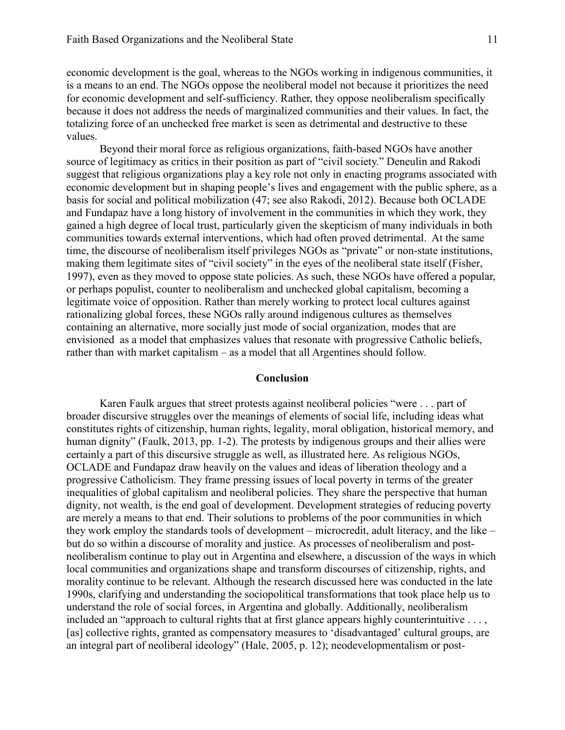economic development is the goal, whereas to the NGOs working in indigenous communities, it is a means to an end. The NGOs oppose the neoliberal model not because it prioritizes the need for economic development and self-sufficiency. Rather, they oppose neoliberalism specifically because it does not address the needs of marginalized communities and their values. In fact, the totalizing force of an unchecked free market is seen as detrimental and destructive to these values.

Beyond their moral force as religious organizations, faith-based NGOs have another source of legitimacy as critics in their position as part of "civil society." Deneulin and Rakodi suggest that religious organizations play a key role not only in enacting programs associated with economic development but in shaping people's lives and engagement with the public sphere, as a basis for social and political mobilization (47; see also Rakodi, 2012). Because both OCLADE and Fundapaz have a long history of involvement in the communities in which they work, they gained a high degree of local trust, particularly given the skepticism of many individuals in both communities towards external interventions, which had often proved detrimental. At the same time, the discourse of neoliberalism itself privileges NGOs as "private" or non-state institutions, making them legitimate sites of "civil society" in the eyes of the neoliberal state itself (Fisher, 1997), even as they moved to oppose state policies. As such, these NGOs have offered a popular, or perhaps populist, counter to neoliberalism and unchecked global capitalism, becoming a legitimate voice of opposition. Rather than merely working to protect local cultures against rationalizing global forces, these NGOs rally around indigenous cultures as themselves containing an alternative, more socially just mode of social organization, modes that are envisioned as a model that emphasizes values that resonate with progressive Catholic beliefs, rather than with market capitalism – as a model that all Argentines should follow.

#### **Conclusion**

Karen Faulk argues that street protests against neoliberal policies "were . . . part of broader discursive struggles over the meanings of elements of social life, including ideas what constitutes rights of citizenship, human rights, legality, moral obligation, historical memory, and human dignity" (Faulk, 2013, pp. 1-2). The protests by indigenous groups and their allies were certainly a part of this discursive struggle as well, as illustrated here. As religious NGOs, OCLADE and Fundapaz draw heavily on the values and ideas of liberation theology and a progressive Catholicism. They frame pressing issues of local poverty in terms of the greater inequalities of global capitalism and neoliberal policies. They share the perspective that human dignity, not wealth, is the end goal of development. Development strategies of reducing poverty are merely a means to that end. Their solutions to problems of the poor communities in which they work employ the standards tools of development – microcredit, adult literacy, and the like – but do so within a discourse of morality and justice. As processes of neoliberalism and postneoliberalism continue to play out in Argentina and elsewhere, a discussion of the ways in which local communities and organizations shape and transform discourses of citizenship, rights, and morality continue to be relevant. Although the research discussed here was conducted in the late 1990s, clarifying and understanding the sociopolitical transformations that took place help us to understand the role of social forces, in Argentina and globally. Additionally, neoliberalism included an "approach to cultural rights that at first glance appears highly counterintuitive . . . , [as] collective rights, granted as compensatory measures to 'disadvantaged' cultural groups, are an integral part of neoliberal ideology" (Hale, 2005, p. 12); neodevelopmentalism or post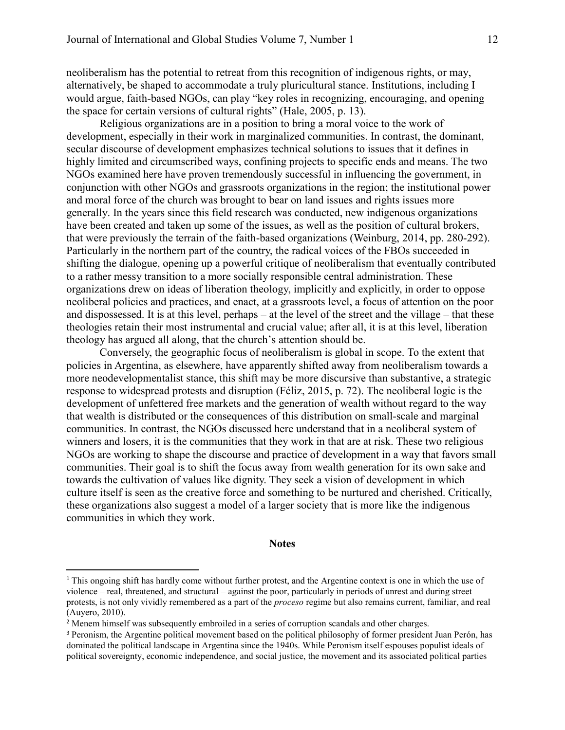neoliberalism has the potential to retreat from this recognition of indigenous rights, or may, alternatively, be shaped to accommodate a truly pluricultural stance. Institutions, including I would argue, faith-based NGOs, can play "key roles in recognizing, encouraging, and opening the space for certain versions of cultural rights" (Hale, 2005, p. 13).

Religious organizations are in a position to bring a moral voice to the work of development, especially in their work in marginalized communities. In contrast, the dominant, secular discourse of development emphasizes technical solutions to issues that it defines in highly limited and circumscribed ways, confining projects to specific ends and means. The two NGOs examined here have proven tremendously successful in influencing the government, in conjunction with other NGOs and grassroots organizations in the region; the institutional power and moral force of the church was brought to bear on land issues and rights issues more generally. In the years since this field research was conducted, new indigenous organizations have been created and taken up some of the issues, as well as the position of cultural brokers, that were previously the terrain of the faith-based organizations (Weinburg, 2014, pp. 280-292). Particularly in the northern part of the country, the radical voices of the FBOs succeeded in shifting the dialogue, opening up a powerful critique of neoliberalism that eventually contributed to a rather messy transition to a more socially responsible central administration. These organizations drew on ideas of liberation theology, implicitly and explicitly, in order to oppose neoliberal policies and practices, and enact, at a grassroots level, a focus of attention on the poor and dispossessed. It is at this level, perhaps – at the level of the street and the village – that these theologies retain their most instrumental and crucial value; after all, it is at this level, liberation theology has argued all along, that the church's attention should be.

Conversely, the geographic focus of neoliberalism is global in scope. To the extent that policies in Argentina, as elsewhere, have apparently shifted away from neoliberalism towards a more neodevelopmentalist stance, this shift may be more discursive than substantive, a strategic response to widespread protests and disruption (Féliz, 2015, p. 72). The neoliberal logic is the development of unfettered free markets and the generation of wealth without regard to the way that wealth is distributed or the consequences of this distribution on small-scale and marginal communities. In contrast, the NGOs discussed here understand that in a neoliberal system of winners and losers, it is the communities that they work in that are at risk. These two religious NGOs are working to shape the discourse and practice of development in a way that favors small communities. Their goal is to shift the focus away from wealth generation for its own sake and towards the cultivation of values like dignity. They seek a vision of development in which culture itself is seen as the creative force and something to be nurtured and cherished. Critically, these organizations also suggest a model of a larger society that is more like the indigenous communities in which they work.

#### **Notes**

l

<sup>&</sup>lt;sup>1</sup> This ongoing shift has hardly come without further protest, and the Argentine context is one in which the use of violence – real, threatened, and structural – against the poor, particularly in periods of unrest and during street protests, is not only vividly remembered as a part of the *proceso* regime but also remains current, familiar, and real (Auyero, 2010).

<sup>&</sup>lt;sup>2</sup> Menem himself was subsequently embroiled in a series of corruption scandals and other charges.

<sup>3</sup> Peronism, the Argentine political movement based on the political philosophy of former president Juan Perón, has dominated the political landscape in Argentina since the 1940s. While Peronism itself espouses populist ideals of political sovereignty, economic independence, and social justice, the movement and its associated political parties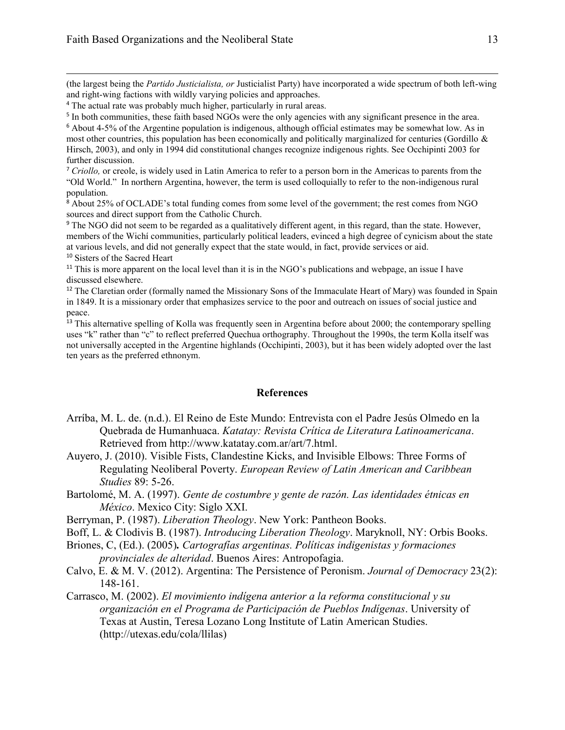$\overline{\phantom{a}}$ 

(the largest being the *Partido Justicialista, or* Justicialist Party) have incorporated a wide spectrum of both left-wing and right-wing factions with wildly varying policies and approaches.

<sup>5</sup> In both communities, these faith based NGOs were the only agencies with any significant presence in the area.

<sup>6</sup> About 4-5% of the Argentine population is indigenous, although official estimates may be somewhat low. As in most other countries, this population has been economically and politically marginalized for centuries (Gordillo  $\&$ Hirsch, 2003), and only in 1994 did constitutional changes recognize indigenous rights. See Occhipinti 2003 for further discussion.

<sup>7</sup> *Criollo,* or creole, is widely used in Latin America to refer to a person born in the Americas to parents from the "Old World." In northern Argentina, however, the term is used colloquially to refer to the non-indigenous rural population.

<sup>8</sup> About 25% of OCLADE's total funding comes from some level of the government; the rest comes from NGO sources and direct support from the Catholic Church.

<sup>9</sup> The NGO did not seem to be regarded as a qualitatively different agent, in this regard, than the state. However, members of the Wichí communities, particularly political leaders, evinced a high degree of cynicism about the state at various levels, and did not generally expect that the state would, in fact, provide services or aid. <sup>10</sup> Sisters of the Sacred Heart

<sup>11</sup> This is more apparent on the local level than it is in the NGO's publications and webpage, an issue I have discussed elsewhere.

<sup>12</sup> The Claretian order (formally named the Missionary Sons of the Immaculate Heart of Mary) was founded in Spain in 1849. It is a missionary order that emphasizes service to the poor and outreach on issues of social justice and peace.

<sup>13</sup> This alternative spelling of Kolla was frequently seen in Argentina before about 2000; the contemporary spelling uses "k" rather than "c" to reflect preferred Quechua orthography. Throughout the 1990s, the term Kolla itself was not universally accepted in the Argentine highlands (Occhipinti, 2003), but it has been widely adopted over the last ten years as the preferred ethnonym.

#### **References**

- Arríba, M. L. de. (n.d.). El Reino de Este Mundo: Entrevista con el Padre Jesús Olmedo en la Quebrada de Humanhuaca. *Katatay: Revista Crítica de Literatura Latinoamericana*. Retrieved from [http://www.katatay.com.ar/art/7.html.](http://www.katatay.com.ar/art/7.html)
- Auyero, J. (2010). Visible Fists, Clandestine Kicks, and Invisible Elbows: Three Forms of Regulating Neoliberal Poverty. *European Review of Latin American and Caribbean Studies* 89: 5-26.
- Bartolomé, M. A. (1997). *Gente de costumbre y gente de razón. Las identidades étnicas en México*. Mexico City: Siglo XXI.
- Berryman, P. (1987). *Liberation Theology*. New York: Pantheon Books.
- Boff, L. & Clodivis B. (1987). *Introducing Liberation Theology*. Maryknoll, NY: Orbis Books.

Briones, C, (Ed.). (2005)*. Cartografías argentinas. Políticas indigenistas y formaciones provinciales de alteridad*. Buenos Aires: Antropofagia.

- Calvo, E. & M. V. (2012). Argentina: The Persistence of Peronism. *Journal of Democracy* 23(2): 148-161.
- Carrasco, M. (2002). *El movimiento indígena anterior a la reforma constitucional y su organización en el Programa de Participación de Pueblos Indígenas*. University of Texas at Austin, Teresa Lozano Long Institute of Latin American Studies. [\(http://utexas.edu/cola/llilas\)](http://utexas.edu/cola/llilas)

<sup>4</sup> The actual rate was probably much higher, particularly in rural areas.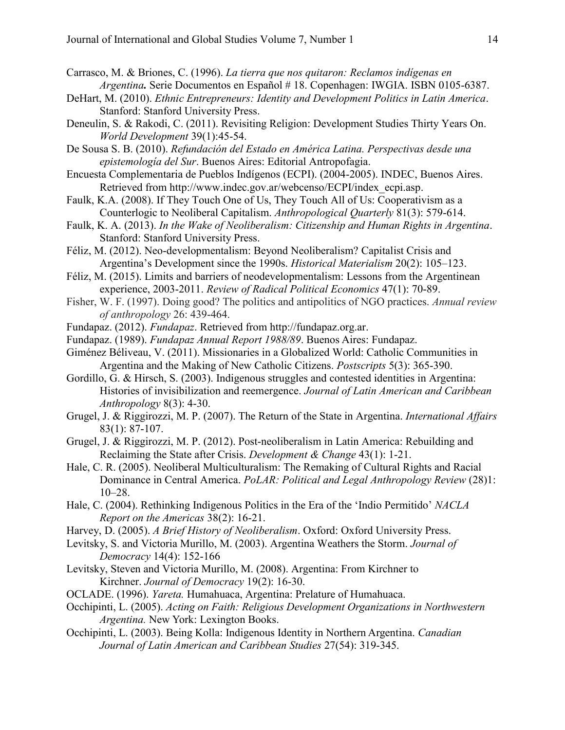- Carrasco, M. & Briones, C. (1996). *La tierra que nos quitaron: Reclamos indígenas en Argentina.* Serie Documentos en Español # 18. Copenhagen: IWGIA. ISBN 0105-6387.
- DeHart, M. (2010). *Ethnic Entrepreneurs: Identity and Development Politics in Latin America*. Stanford: Stanford University Press.
- Deneulin, S. & Rakodi, C. (2011). Revisiting Religion: Development Studies Thirty Years On. *World Development* 39(1):45-54.
- De Sousa S. B. (2010). *Refundación del Estado en América Latina. Perspectivas desde una epistemología del Sur*. Buenos Aires: Editorial Antropofagia.
- Encuesta Complementaria de Pueblos Indígenos (ECPI). (2004-2005). INDEC, Buenos Aires. Retrieved from [http://www.indec.gov.ar/webcenso/ECPI/index\\_ecpi.asp.](http://www.indec.gov.ar/webcenso/ECPI/index_ecpi.asp)
- Faulk, K.A. (2008). If They Touch One of Us, They Touch All of Us: Cooperativism as a Counterlogic to Neoliberal Capitalism. *Anthropological Quarterly* 81(3): 579-614.
- Faulk, K. A. (2013). *In the Wake of Neoliberalism: Citizenship and Human Rights in Argentina*. Stanford: Stanford University Press.
- Féliz, M. (2012). Neo-developmentalism: Beyond Neoliberalism? Capitalist Crisis and Argentina's Development since the 1990s. *Historical Materialism* 20(2): 105–123.
- Féliz, M. (2015). Limits and barriers of neodevelopmentalism: Lessons from the Argentinean experience, 2003-2011. *Review of Radical Political Economics* 47(1): 70-89.
- Fisher, W. F. (1997). Doing good? The politics and antipolitics of NGO practices. *Annual review of anthropology* 26: 439-464.
- Fundapaz. (2012). *Fundapaz*. Retrieved from [http://fundapaz.org.ar.](http://fundapaz.org.ar/)
- Fundapaz. (1989). *Fundapaz Annual Report 1988/89*. Buenos Aires: Fundapaz.
- Giménez Béliveau, V. (2011). Missionaries in a Globalized World: Catholic Communities in Argentina and the Making of New Catholic Citizens. *Postscripts* 5(3): 365-390.
- Gordillo, G. & Hirsch, S. (2003). Indigenous struggles and contested identities in Argentina: Histories of invisibilization and reemergence. *Journal of Latin American and Caribbean Anthropology* 8(3): 4-30.
- Grugel, J. & Riggirozzi, M. P. (2007). The Return of the State in Argentina. *International Affairs* 83(1): 87-107.
- Grugel, J. & Riggirozzi, M. P. (2012). Post-neoliberalism in Latin America: Rebuilding and Reclaiming the State after Crisis. *Development & Change* 43(1): 1-21.
- Hale, C. R. (2005). Neoliberal Multiculturalism: The Remaking of Cultural Rights and Racial Dominance in Central America. *PoLAR: Political and Legal Anthropology Review* (28)1: 10–28.
- Hale, C. (2004). Rethinking Indigenous Politics in the Era of the 'Indio Permitido' *NACLA Report on the Americas* 38(2): 16-21.
- Harvey, D. (2005). *A Brief History of Neoliberalism*. Oxford: Oxford University Press.
- Levitsky, S. and Victoria Murillo, M. (2003). Argentina Weathers the Storm. *Journal of Democracy* 14(4): 152-166
- Levitsky, Steven and Victoria Murillo, M. (2008). Argentina: From Kirchner to Kirchner. *Journal of Democracy* 19(2): 16-30.
- OCLADE. (1996). *Yareta.* Humahuaca, Argentina: Prelature of Humahuaca.
- Occhipinti, L. (2005). *Acting on Faith: Religious Development Organizations in Northwestern Argentina.* New York: Lexington Books.
- Occhipinti, L. (2003). Being Kolla: Indigenous Identity in Northern Argentina. *Canadian Journal of Latin American and Caribbean Studies* 27(54): 319-345.